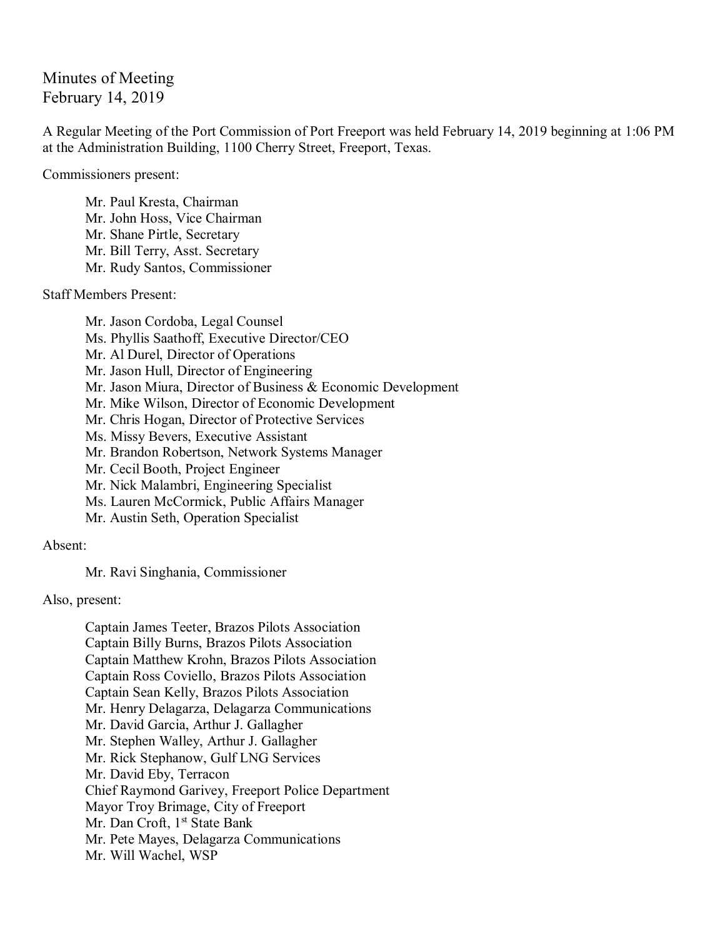## Minutes of Meeting February 14, 2019

A Regular Meeting of the Port Commission of Port Freeport was held February 14, 2019 beginning at 1:06 PM at the Administration Building, 1100 Cherry Street, Freeport, Texas.

Commissioners present:

Mr. Paul Kresta, Chairman Mr. John Hoss, Vice Chairman Mr. Shane Pirtle, Secretary Mr. Bill Terry, Asst. Secretary Mr. Rudy Santos, Commissioner

Staff Members Present:

Mr. Jason Cordoba, Legal Counsel Ms. Phyllis Saathoff, Executive Director/CEO Mr. Al Durel, Director of Operations Mr. Jason Hull, Director of Engineering Mr. Jason Miura, Director of Business & Economic Development Mr. Mike Wilson, Director of Economic Development Mr. Chris Hogan, Director of Protective Services Ms. Missy Bevers, Executive Assistant Mr. Brandon Robertson, Network Systems Manager Mr. Cecil Booth, Project Engineer Mr. Nick Malambri, Engineering Specialist Ms. Lauren McCormick, Public Affairs Manager Mr. Austin Seth, Operation Specialist

Absent:

Mr. Ravi Singhania, Commissioner

Also, present:

Captain James Teeter, Brazos Pilots Association Captain Billy Burns, Brazos Pilots Association Captain Matthew Krohn, Brazos Pilots Association Captain Ross Coviello, Brazos Pilots Association Captain Sean Kelly, Brazos Pilots Association Mr. Henry Delagarza, Delagarza Communications Mr. David Garcia, Arthur J. Gallagher Mr. Stephen Walley, Arthur J. Gallagher Mr. Rick Stephanow, Gulf LNG Services Mr. David Eby, Terracon Chief Raymond Garivey, Freeport Police Department Mayor Troy Brimage, City of Freeport Mr. Dan Croft, 1<sup>st</sup> State Bank Mr. Pete Mayes, Delagarza Communications Mr. Will Wachel, WSP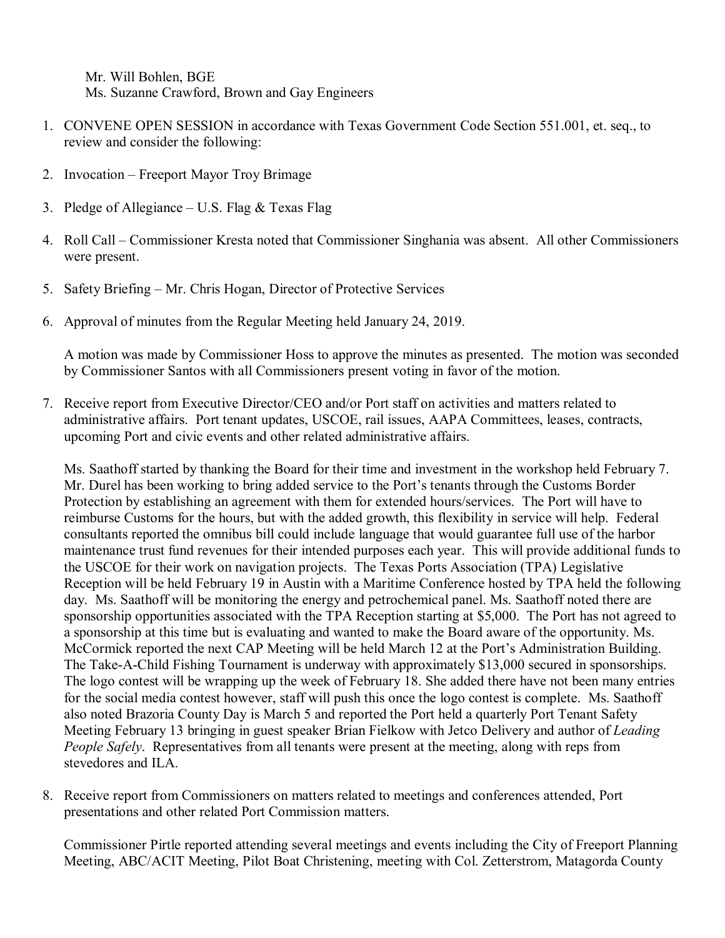Mr. Will Bohlen, BGE Ms. Suzanne Crawford, Brown and Gay Engineers

- 1. CONVENE OPEN SESSION in accordance with Texas Government Code Section 551.001, et. seq., to review and consider the following:
- 2. Invocation Freeport Mayor Troy Brimage
- 3. Pledge of Allegiance U.S. Flag & Texas Flag
- 4. Roll Call Commissioner Kresta noted that Commissioner Singhania was absent. All other Commissioners were present.
- 5. Safety Briefing Mr. Chris Hogan, Director of Protective Services
- 6. Approval of minutes from the Regular Meeting held January 24, 2019.

A motion was made by Commissioner Hoss to approve the minutes as presented. The motion was seconded by Commissioner Santos with all Commissioners present voting in favor of the motion.

7. Receive report from Executive Director/CEO and/or Port staff on activities and matters related to administrative affairs. Port tenant updates, USCOE, rail issues, AAPA Committees, leases, contracts, upcoming Port and civic events and other related administrative affairs.

Ms. Saathoff started by thanking the Board for their time and investment in the workshop held February 7. Mr. Durel has been working to bring added service to the Port's tenants through the Customs Border Protection by establishing an agreement with them for extended hours/services. The Port will have to reimburse Customs for the hours, but with the added growth, this flexibility in service will help. Federal consultants reported the omnibus bill could include language that would guarantee full use of the harbor maintenance trust fund revenues for their intended purposes each year. This will provide additional funds to the USCOE for their work on navigation projects. The Texas Ports Association (TPA) Legislative Reception will be held February 19 in Austin with a Maritime Conference hosted by TPA held the following day. Ms. Saathoff will be monitoring the energy and petrochemical panel. Ms. Saathoff noted there are sponsorship opportunities associated with the TPA Reception starting at \$5,000. The Port has not agreed to a sponsorship at this time but is evaluating and wanted to make the Board aware of the opportunity. Ms. McCormick reported the next CAP Meeting will be held March 12 at the Port's Administration Building. The Take-A-Child Fishing Tournament is underway with approximately \$13,000 secured in sponsorships. The logo contest will be wrapping up the week of February 18. She added there have not been many entries for the social media contest however, staff will push this once the logo contest is complete. Ms. Saathoff also noted Brazoria County Day is March 5 and reported the Port held a quarterly Port Tenant Safety Meeting February 13 bringing in guest speaker Brian Fielkow with Jetco Delivery and author of *Leading People Safely*. Representatives from all tenants were present at the meeting, along with reps from stevedores and ILA.

8. Receive report from Commissioners on matters related to meetings and conferences attended, Port presentations and other related Port Commission matters.

Commissioner Pirtle reported attending several meetings and events including the City of Freeport Planning Meeting, ABC/ACIT Meeting, Pilot Boat Christening, meeting with Col. Zetterstrom, Matagorda County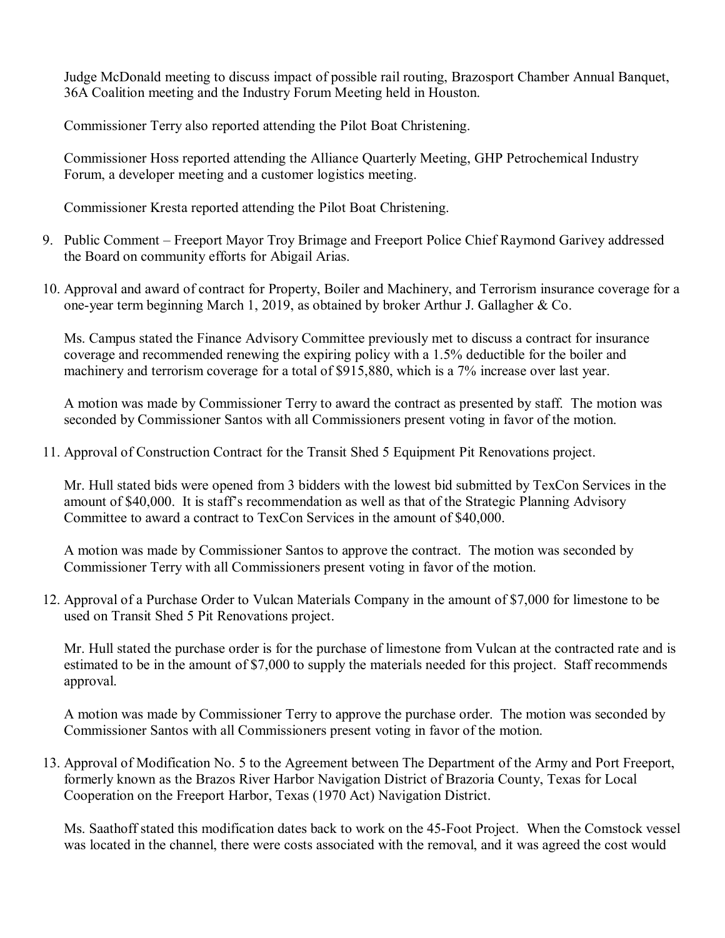Judge McDonald meeting to discuss impact of possible rail routing, Brazosport Chamber Annual Banquet, 36A Coalition meeting and the Industry Forum Meeting held in Houston.

Commissioner Terry also reported attending the Pilot Boat Christening.

Commissioner Hoss reported attending the Alliance Quarterly Meeting, GHP Petrochemical Industry Forum, a developer meeting and a customer logistics meeting.

Commissioner Kresta reported attending the Pilot Boat Christening.

- 9. Public Comment Freeport Mayor Troy Brimage and Freeport Police Chief Raymond Garivey addressed the Board on community efforts for Abigail Arias.
- 10. Approval and award of contract for Property, Boiler and Machinery, and Terrorism insurance coverage for a one-year term beginning March 1, 2019, as obtained by broker Arthur J. Gallagher & Co.

Ms. Campus stated the Finance Advisory Committee previously met to discuss a contract for insurance coverage and recommended renewing the expiring policy with a 1.5% deductible for the boiler and machinery and terrorism coverage for a total of \$915,880, which is a 7% increase over last year.

A motion was made by Commissioner Terry to award the contract as presented by staff. The motion was seconded by Commissioner Santos with all Commissioners present voting in favor of the motion.

11. Approval of Construction Contract for the Transit Shed 5 Equipment Pit Renovations project.

Mr. Hull stated bids were opened from 3 bidders with the lowest bid submitted by TexCon Services in the amount of \$40,000. It is staff's recommendation as well as that of the Strategic Planning Advisory Committee to award a contract to TexCon Services in the amount of \$40,000.

A motion was made by Commissioner Santos to approve the contract. The motion was seconded by Commissioner Terry with all Commissioners present voting in favor of the motion.

12. Approval of a Purchase Order to Vulcan Materials Company in the amount of \$7,000 for limestone to be used on Transit Shed 5 Pit Renovations project.

Mr. Hull stated the purchase order is for the purchase of limestone from Vulcan at the contracted rate and is estimated to be in the amount of \$7,000 to supply the materials needed for this project. Staff recommends approval.

A motion was made by Commissioner Terry to approve the purchase order. The motion was seconded by Commissioner Santos with all Commissioners present voting in favor of the motion.

13. Approval of Modification No. 5 to the Agreement between The Department of the Army and Port Freeport, formerly known as the Brazos River Harbor Navigation District of Brazoria County, Texas for Local Cooperation on the Freeport Harbor, Texas (1970 Act) Navigation District.

Ms. Saathoff stated this modification dates back to work on the 45-Foot Project. When the Comstock vessel was located in the channel, there were costs associated with the removal, and it was agreed the cost would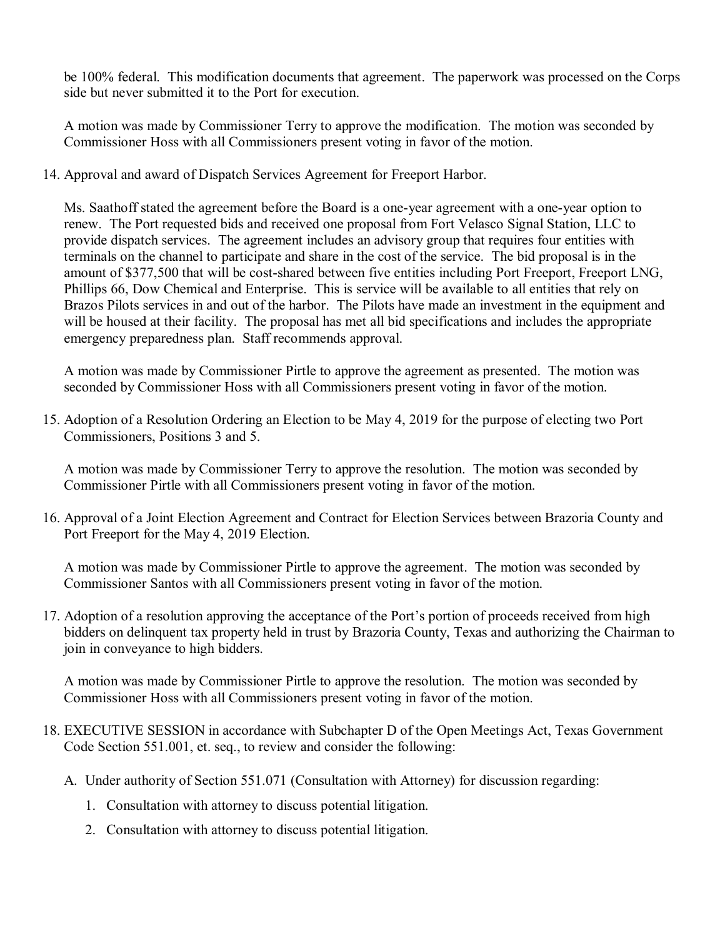be 100% federal. This modification documents that agreement. The paperwork was processed on the Corps side but never submitted it to the Port for execution.

A motion was made by Commissioner Terry to approve the modification. The motion was seconded by Commissioner Hoss with all Commissioners present voting in favor of the motion.

14. Approval and award of Dispatch Services Agreement for Freeport Harbor.

Ms. Saathoff stated the agreement before the Board is a one-year agreement with a one-year option to renew. The Port requested bids and received one proposal from Fort Velasco Signal Station, LLC to provide dispatch services. The agreement includes an advisory group that requires four entities with terminals on the channel to participate and share in the cost of the service. The bid proposal is in the amount of \$377,500 that will be cost-shared between five entities including Port Freeport, Freeport LNG, Phillips 66, Dow Chemical and Enterprise. This is service will be available to all entities that rely on Brazos Pilots services in and out of the harbor. The Pilots have made an investment in the equipment and will be housed at their facility. The proposal has met all bid specifications and includes the appropriate emergency preparedness plan. Staff recommends approval.

A motion was made by Commissioner Pirtle to approve the agreement as presented. The motion was seconded by Commissioner Hoss with all Commissioners present voting in favor of the motion.

15. Adoption of a Resolution Ordering an Election to be May 4, 2019 for the purpose of electing two Port Commissioners, Positions 3 and 5.

A motion was made by Commissioner Terry to approve the resolution. The motion was seconded by Commissioner Pirtle with all Commissioners present voting in favor of the motion.

16. Approval of a Joint Election Agreement and Contract for Election Services between Brazoria County and Port Freeport for the May 4, 2019 Election.

A motion was made by Commissioner Pirtle to approve the agreement. The motion was seconded by Commissioner Santos with all Commissioners present voting in favor of the motion.

17. Adoption of a resolution approving the acceptance of the Port's portion of proceeds received from high bidders on delinquent tax property held in trust by Brazoria County, Texas and authorizing the Chairman to join in conveyance to high bidders.

A motion was made by Commissioner Pirtle to approve the resolution. The motion was seconded by Commissioner Hoss with all Commissioners present voting in favor of the motion.

- 18. EXECUTIVE SESSION in accordance with Subchapter D of the Open Meetings Act, Texas Government Code Section 551.001, et. seq., to review and consider the following:
	- A. Under authority of Section 551.071 (Consultation with Attorney) for discussion regarding:
		- 1. Consultation with attorney to discuss potential litigation.
		- 2. Consultation with attorney to discuss potential litigation.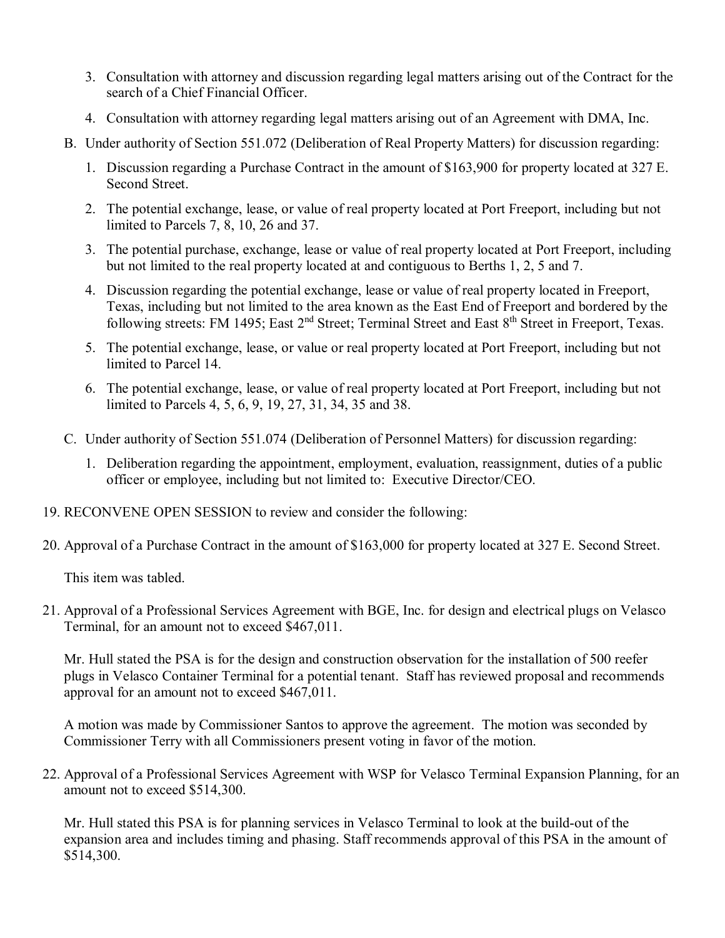- 3. Consultation with attorney and discussion regarding legal matters arising out of the Contract for the search of a Chief Financial Officer.
- 4. Consultation with attorney regarding legal matters arising out of an Agreement with DMA, Inc.
- B. Under authority of Section 551.072 (Deliberation of Real Property Matters) for discussion regarding:
	- 1. Discussion regarding a Purchase Contract in the amount of \$163,900 for property located at 327 E. Second Street.
	- 2. The potential exchange, lease, or value of real property located at Port Freeport, including but not limited to Parcels 7, 8, 10, 26 and 37.
	- 3. The potential purchase, exchange, lease or value of real property located at Port Freeport, including but not limited to the real property located at and contiguous to Berths 1, 2, 5 and 7.
	- 4. Discussion regarding the potential exchange, lease or value of real property located in Freeport, Texas, including but not limited to the area known as the East End of Freeport and bordered by the following streets: FM 1495; East 2<sup>nd</sup> Street; Terminal Street and East 8<sup>th</sup> Street in Freeport, Texas.
	- 5. The potential exchange, lease, or value or real property located at Port Freeport, including but not limited to Parcel 14.
	- 6. The potential exchange, lease, or value of real property located at Port Freeport, including but not limited to Parcels 4, 5, 6, 9, 19, 27, 31, 34, 35 and 38.
- C. Under authority of Section 551.074 (Deliberation of Personnel Matters) for discussion regarding:
	- 1. Deliberation regarding the appointment, employment, evaluation, reassignment, duties of a public officer or employee, including but not limited to: Executive Director/CEO.
- 19. RECONVENE OPEN SESSION to review and consider the following:
- 20. Approval of a Purchase Contract in the amount of \$163,000 for property located at 327 E. Second Street.

This item was tabled.

21. Approval of a Professional Services Agreement with BGE, Inc. for design and electrical plugs on Velasco Terminal, for an amount not to exceed \$467,011.

Mr. Hull stated the PSA is for the design and construction observation for the installation of 500 reefer plugs in Velasco Container Terminal for a potential tenant. Staff has reviewed proposal and recommends approval for an amount not to exceed \$467,011.

A motion was made by Commissioner Santos to approve the agreement. The motion was seconded by Commissioner Terry with all Commissioners present voting in favor of the motion.

22. Approval of a Professional Services Agreement with WSP for Velasco Terminal Expansion Planning, for an amount not to exceed \$514,300.

Mr. Hull stated this PSA is for planning services in Velasco Terminal to look at the build-out of the expansion area and includes timing and phasing. Staff recommends approval of this PSA in the amount of \$514,300.